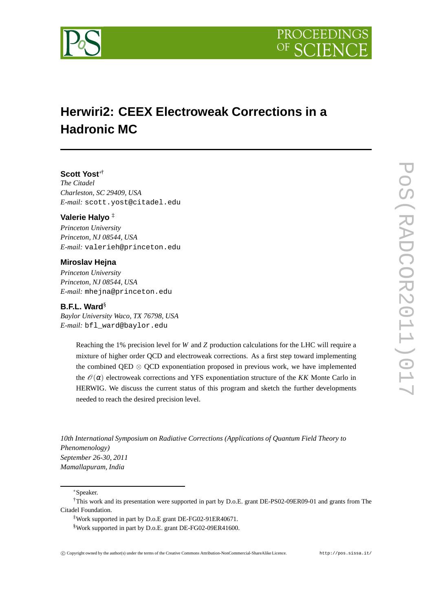



# **Herwiri2: CEEX Electroweak Corrections in a Hadronic MC**

# **Scott Yost**∗†

*The Citadel Charleston, SC 29409, USA E-mail:* scott.yost@citadel.edu

### **Valerie Halyo** ‡

*Princeton University Princeton, NJ 08544, USA E-mail:* valerieh@princeton.edu

## **Miroslav Hejna**

*Princeton University Princeton, NJ 08544, USA E-mail:* mhejna@princeton.edu

#### **B.F.L. Ward**§

*Baylor University Waco, TX 76798, USA E-mail:* bfl\_ward@baylor.edu

> Reaching the 1% precision level for *W* and *Z* production calculations for the LHC will require a mixture of higher order QCD and electroweak corrections. As a first step toward implementing the combined QED ⊗ QCD exponentiation proposed in previous work, we have implemented the  $\mathcal{O}(\alpha)$  electroweak corrections and YFS exponentiation structure of the *KK* Monte Carlo in HERWIG. We discuss the current status of this program and sketch the further developments needed to reach the desired precision level.

*10th International Symposium on Radiative Corrections (Applications of Quantum Field Theory to Phenomenology) September 26-30, 2011 Mamallapuram, India*

∗Speaker.

†This work and its presentation were supported in part by D.o.E. grant DE-PS02-09ER09-01 and grants from The Citadel Foundation.

‡Work supported in part by D.o.E grant DE-FG02-91ER40671.

§Work supported in part by D.o.E. grant DE-FG02-09ER41600.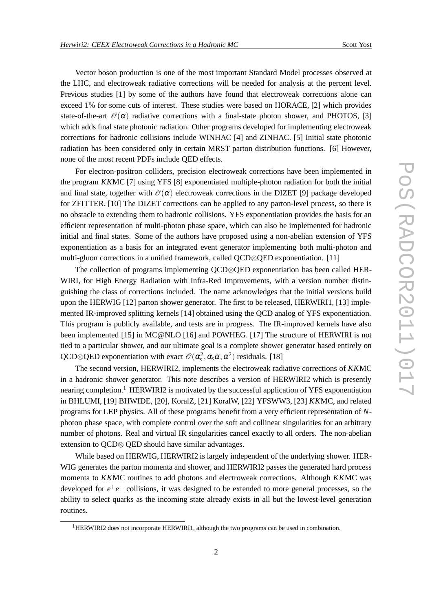Vector boson production is one of the most important Standard Model processes observed at the LHC, and electroweak radiative corrections will be needed for analysis at the percent level. Previous studies [1] by some of the authors have found that electroweak corrections alone can exceed 1% for some cuts of interest. These studies were based on HORACE, [2] which provides state-of-the-art  $\mathcal{O}(\alpha)$  radiative corrections with a final-state photon shower, and PHOTOS, [3] which adds final state photonic radiation. Other programs developed for implementing electroweak corrections for hadronic collisions include WINHAC [4] and ZINHAC. [5] Initial state photonic radiation has been considered only in certain MRST parton distribution functions. [6] However, none of the most recent PDFs include QED effects.

For electron-positron colliders, precision electroweak corrections have been implemented in the program *KK*MC [7] using YFS [8] exponentiated multiple-photon radiation for both the initial and final state, together with  $\mathcal{O}(\alpha)$  electroweak corrections in the DIZET [9] package developed for ZFITTER. [10] The DIZET corrections can be applied to any parton-level process, so there is no obstacle to extending them to hadronic collisions. YFS exponentiation provides the basis for an efficient representation of multi-photon phase space, which can also be implemented for hadronic initial and final states. Some of the authors have proposed using a non-abelian extension of YFS exponentiation as a basis for an integrated event generator implementing both multi-photon and multi-gluon corrections in a unified framework, called QCD⊗QED exponentiation. [11]

The collection of programs implementing QCD⊗QED exponentiation has been called HER-WIRI, for High Energy Radiation with Infra-Red Improvements, with a version number distinguishing the class of corrections included. The name acknowledges that the initial versions build upon the HERWIG [12] parton shower generator. The first to be released, HERWIRI1, [13] implemented IR-improved splitting kernels [14] obtained using the QCD analog of YFS exponentiation. This program is publicly available, and tests are in progress. The IR-improved kernels have also been implemented [15] in MC@NLO [16] and POWHEG. [17] The structure of HERWIRI is not tied to a particular shower, and our ultimate goal is a complete shower generator based entirely on QCD⊗QED exponentiation with exact  $\mathcal{O}(\alpha_s^2, \alpha_s \alpha, \alpha^2)$  residuals. [18]

The second version, HERWIRI2, implements the electroweak radiative corrections of *KK*MC in a hadronic shower generator. This note describes a version of HERWIRI2 which is presently nearing completion.<sup>1</sup> HERWIRI2 is motivated by the successful application of YFS exponentiation in BHLUMI, [19] BHWIDE, [20], KoralZ, [21] KoralW, [22] YFSWW3, [23] *KK*MC, and related programs for LEP physics. All of these programs benefit from a very efficient representation of *N*photon phase space, with complete control over the soft and collinear singularities for an arbitrary number of photons. Real and virtual IR singularities cancel exactly to all orders. The non-abelian extension to QCD⊗ QED should have similar advantages.

While based on HERWIG, HERWIRI2 is largely independent of the underlying shower. HER-WIG generates the parton momenta and shower, and HERWIRI2 passes the generated hard process momenta to *KK*MC routines to add photons and electroweak corrections. Although *KK*MC was developed for  $e^+e^-$  collisions, it was designed to be extended to more general processes, so the ability to select quarks as the incoming state already exists in all but the lowest-level generation routines.

<sup>&</sup>lt;sup>1</sup>HERWIRI2 does not incorporate HERWIRI1, although the two programs can be used in combination.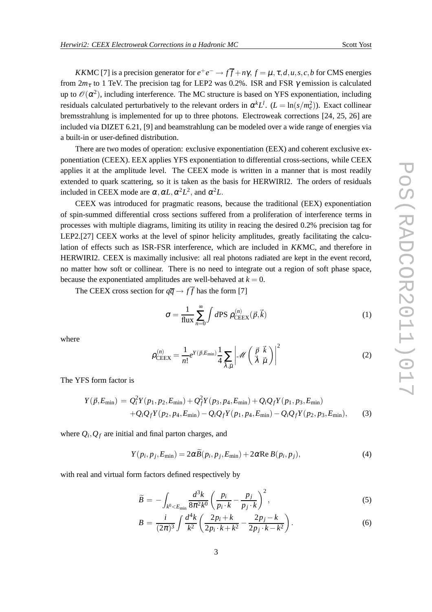*KKMC* [7] is a precision generator for  $e^+e^- \to f\overline{f} + n\gamma$ ,  $f = \mu$ ,  $\tau$ ,  $d$ ,  $u$ ,  $s$ ,  $c$ ,  $b$  for CMS energies from  $2m_{\tau}$  to 1 TeV. The precision tag for LEP2 was 0.2%. ISR and FSR  $\gamma$  emission is calculated up to  $\mathcal{O}(\alpha^2)$ , including interference. The MC structure is based on YFS exponentiation, including residuals calculated perturbatively to the relevant orders in  $\alpha^{k}L^{l}$ .  $(L = \ln(s/m_e^2))$ . Exact collinear bremsstrahlung is implemented for up to three photons. Electroweak corrections [24, 25, 26] are included via DIZET 6.21, [9] and beamstrahlung can be modeled over a wide range of energies via a built-in or user-defined distribution.

There are two modes of operation: exclusive exponentiation (EEX) and coherent exclusive exponentiation (CEEX). EEX applies YFS exponentiation to differential cross-sections, while CEEX applies it at the amplitude level. The CEEX mode is written in a manner that is most readily extended to quark scattering, so it is taken as the basis for HERWIRI2. The orders of residuals included in CEEX mode are  $\alpha$ ,  $\alpha L$ ,  $\alpha^2 L^2$ , and  $\alpha^2 L$ .

CEEX was introduced for pragmatic reasons, because the traditional (EEX) exponentiation of spin-summed differential cross sections suffered from a proliferation of interference terms in processes with multiple diagrams, limiting its utility in reacing the desired 0.2% precision tag for LEP2.[27] CEEX works at the level of spinor helicity amplitudes, greatly facilitating the calculation of effects such as ISR-FSR interference, which are included in *KK*MC, and therefore in HERWIRI2. CEEX is maximally inclusive: all real photons radiated are kept in the event record, no matter how soft or collinear. There is no need to integrate out a region of soft phase space, because the exponentiated amplitudes are well-behaved at  $k = 0$ .

The CEEX cross section for  $q\overline{q} \rightarrow f\overline{f}$  has the form [7]

$$
\sigma = \frac{1}{\text{flux}} \sum_{n=0}^{\infty} \int d\text{PS } \rho_{\text{CEEX}}^{(n)}(\vec{p}, \vec{k})
$$
 (1)

where

$$
\rho_{\text{CEEX}}^{(n)} = \frac{1}{n!} e^{Y(\vec{p}, E_{\text{min}})} \frac{1}{4} \sum_{\vec{\lambda}, \vec{\mu}} \left| \mathcal{M} \left( \frac{\vec{p}}{\vec{\lambda}} \frac{\vec{k}}{\vec{\mu}} \right) \right|^2 \tag{2}
$$

The YFS form factor is

$$
Y(\vec{p}, E_{\min}) = Q_i^2 Y(p_1, p_2, E_{\min}) + Q_f^2 Y(p_3, p_4, E_{\min}) + Q_i Q_f Y(p_1, p_3, E_{\min}) + Q_i Q_f Y(p_2, p_4, E_{\min}) - Q_i Q_f Y(p_1, p_4, E_{\min}) - Q_i Q_f Y(p_2, p_3, E_{\min}),
$$
(3)

where  $Q_i$ ,  $Q_f$  are initial and final parton charges, and

$$
Y(p_i, p_j, E_{\min}) = 2\alpha \widetilde{B}(p_i, p_j, E_{\min}) + 2\alpha \operatorname{Re} B(p_i, p_j), \tag{4}
$$

with real and virtual form factors defined respectively by

$$
\widetilde{B} = -\int_{k^0 < E_{\min}} \frac{d^3k}{8\pi^2 k^0} \left(\frac{p_i}{p_i \cdot k} - \frac{p_j}{p_j \cdot k}\right)^2,\tag{5}
$$

$$
B = \frac{i}{(2\pi)^3} \int \frac{d^4k}{k^2} \left( \frac{2p_i + k}{2p_i \cdot k + k^2} - \frac{2p_j - k}{2p_j \cdot k - k^2} \right).
$$
 (6)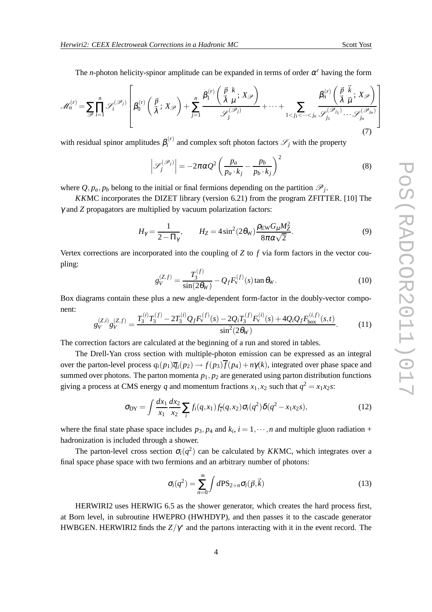The *n*-photon helicity-spinor amplitude can be expanded in terms of order  $\alpha^r$  having the form

$$
\mathcal{M}_n^{(r)} = \sum_{\mathcal{P}} \prod_{i=1}^n \mathcal{S}_i^{(\mathcal{P}_j)} \left[ \beta_0^{(r)} \left( \frac{\vec{p}}{\vec{\lambda}}; X_{\mathcal{P}} \right) + \sum_{j=1}^n \frac{\beta_1^{(r)} \left( \frac{\vec{p}}{\vec{\lambda}} k; X_{\mathcal{P}} \right)}{\mathcal{S}_j^{(\mathcal{P}_j)}} + \dots + \sum_{1 < j_1 < \dots < j_n} \frac{\beta_n^{(r)} \left( \frac{\vec{p}}{\vec{\lambda}} k; X_{\mathcal{P}} \right)}{\mathcal{S}_{j_1}^{(\mathcal{P}_{j_1})} \dots \mathcal{S}_{j_n}^{(\mathcal{P}_{j_n})}} \right] \tag{7}
$$

with residual spinor amplitudes  $\beta_i^{(r)}$  $i_i^{(r)}$  and complex soft photon factors  $\mathscr{S}_j$  with the property

$$
\left| \mathcal{S}_{j}^{(\mathcal{P}_{j})} \right| = -2\pi\alpha Q^{2} \left( \frac{p_{a}}{p_{a} \cdot k_{j}} - \frac{p_{b}}{p_{b} \cdot k_{j}} \right)^{2}
$$
(8)

where  $Q, p_a, p_b$  belong to the initial or final fermions depending on the partition  $\mathcal{P}_j$ .

*KK*MC incorporates the DIZET library (version 6.21) from the program ZFITTER. [10] The γ and *Z* propagators are multiplied by vacuum polarization factors:

$$
H_{\gamma} = \frac{1}{2 - \Pi_{\gamma}}, \qquad H_{Z} = 4 \sin^{2}(2\theta_{\rm W}) \frac{\rho_{\rm EW} G_{\mu} M_{Z}^{2}}{8\pi \alpha \sqrt{2}}.
$$
 (9)

Vertex corrections are incorporated into the coupling of *Z* to *f* via form factors in the vector coupling:

$$
g_V^{(Z,f)} = \frac{T_3^{(f)}}{\sin(2\theta_W)} - Q_f F_V^{(f)}(s) \tan \theta_W.
$$
 (10)

Box diagrams contain these plus a new angle-dependent form-factor in the doubly-vector component:

$$
g_V^{(Z,i)}g_V^{(Z,f)} = \frac{T_3^{(i)}T_3^{(f)} - 2T_3^{(i)}Q_fF_V^{(f)}(s) - 2Q_iT_3^{(f)}F_V^{(i)}(s) + 4Q_iQ_fF_{\text{box}}^{(i,f)}(s,t)}{\sin^2(2\theta_W)}.
$$
(11)

The correction factors are calculated at the beginning of a run and stored in tables.

The Drell-Yan cross section with multiple-photon emission can be expressed as an integral over the parton-level process  $q_i(p_1)\overline{q}_i(p_2) \rightarrow f(p_3)\overline{f}(p_4) + n\gamma(k)$ , integrated over phase space and summed over photons. The parton momenta  $p_1, p_2$  are generated using parton distribution functions giving a process at CMS energy *q* and momentum fractions  $x_1, x_2$  such that  $q^2 = x_1x_2s$ :

$$
\sigma_{DY} = \int \frac{dx_1}{x_1} \frac{dx_2}{x_2} \sum_i f_i(q, x_1) f_i(q, x_2) \sigma_i(q^2) \delta(q^2 - x_1 x_2 s), \tag{12}
$$

where the final state phase space includes  $p_3$ ,  $p_4$  and  $k_i$ ,  $i = 1, \dots, n$  and multiple gluon radiation + hadronization is included through a shower.

The parton-level cross section  $\sigma_i(q^2)$  can be calculated by *KKMC*, which integrates over a final space phase space with two fermions and an arbitrary number of photons:

$$
\sigma_i(q^2) = \sum_{n=0}^{\infty} \int d\mathbf{PS}_{2+n} \sigma_i(\vec{p}, \vec{k})
$$
\n(13)

HERWIRI2 uses HERWIG 6.5 as the shower generator, which creates the hard process first, at Born level, in subroutine HWEPRO (HWHDYP), and then passes it to the cascade generator HWBGEN. HERWIRI2 finds the  $Z/\gamma^*$  and the partons interacting with it in the event record. The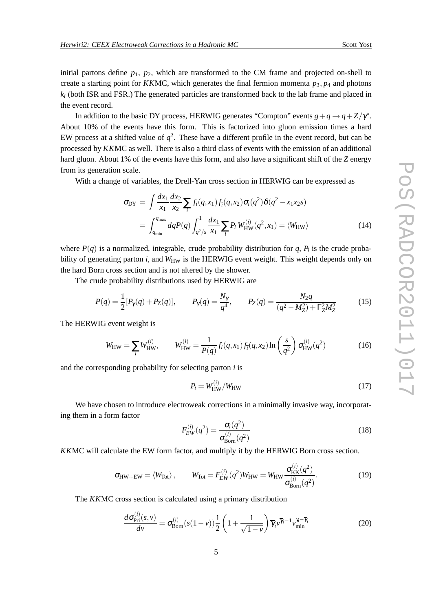initial partons define  $p_1$ ,  $p_2$ , which are transformed to the CM frame and projected on-shell to create a starting point for *KKMC*, which generates the final fermion momenta  $p_3$ ,  $p_4$  and photons  $k_i$  (both ISR and FSR.) The generated particles are transformed back to the lab frame and placed in the event record.

In addition to the basic DY process, HERWIG generates "Compton" events  $g + q \rightarrow q + Z/\gamma^*$ . About 10% of the events have this form. This is factorized into gluon emission times a hard EW process at a shifted value of  $q^2$ . These have a different profile in the event record, but can be processed by *KK*MC as well. There is also a third class of events with the emission of an additional hard gluon. About 1% of the events have this form, and also have a significant shift of the *Z* energy from its generation scale.

With a change of variables, the Drell-Yan cross section in HERWIG can be expressed as

$$
\sigma_{DY} = \int \frac{dx_1}{x_1} \frac{dx_2}{x_2} \sum_{i} f_i(q, x_1) f_i(q, x_2) \sigma_i(q^2) \delta(q^2 - x_1 x_2 s)
$$
  
= 
$$
\int_{q_{\min}}^{q_{\max}} dq P(q) \int_{q^2/s}^{1} \frac{dx_1}{x_1} \sum_{i} P_i W_{HW}^{(i)}(q^2, x_1) = \langle W_{HW} \rangle
$$
 (14)

where  $P(q)$  is a normalized, integrable, crude probability distribution for  $q$ ,  $P_i$  is the crude probability of generating parton *i*, and  $W_{HW}$  is the HERWIG event weight. This weight depends only on the hard Born cross section and is not altered by the shower.

The crude probability distributions used by HERWIG are

$$
P(q) = \frac{1}{2} [P_{\gamma}(q) + P_{Z}(q)], \qquad P_{\gamma}(q) = \frac{N_{\gamma}}{q^{4}}, \qquad P_{Z}(q) = \frac{N_{2}q}{(q^{2} - M_{Z}^{2}) + \Gamma_{Z}^{2} M_{Z}^{2}}
$$
(15)

The HERWIG event weight is

$$
W_{\rm HW} = \sum_{i} W_{\rm HW}^{(i)}, \qquad W_{\rm HW}^{(i)} = \frac{1}{P(q)} f_i(q, x_1) f_{\bar{i}}(q, x_2) \ln\left(\frac{s}{q^2}\right) \sigma_{\rm HW}^{(i)}(q^2)
$$
(16)

and the corresponding probability for selecting parton *i* is

$$
P_i = W_{\text{HW}}^{(i)}/W_{\text{HW}} \tag{17}
$$

We have chosen to introduce electroweak corrections in a minimally invasive way, incorporating them in a form factor

$$
F_{EW}^{(i)}(q^2) = \frac{\sigma_i(q^2)}{\sigma_{\text{Born}}^{(i)}(q^2)}\tag{18}
$$

*KK*MC will calculate the EW form factor, and multiply it by the HERWIG Born cross section.

$$
\sigma_{HW+EW} = \langle W_{Tot} \rangle, \qquad W_{Tot} = F_{EW}^{(i)}(q^2)W_{HW} = W_{HW} \frac{\sigma_{KK}^{(i)}(q^2)}{\sigma_{Born}^{(i)}(q^2)}.
$$
(19)

The *KK*MC cross section is calculated using a primary distribution

$$
\frac{d\sigma_{\text{Pri}}^{(i)}(s,\nu)}{d\nu} = \sigma_{\text{Born}}^{(i)}(s(1-\nu))\frac{1}{2}\left(1+\frac{1}{\sqrt{1-\nu}}\right)\overline{\gamma}_{i}\nu^{\overline{\gamma}_{i}-1}\nu_{\text{min}}^{\gamma_{i}-\overline{\gamma}_{i}}\tag{20}
$$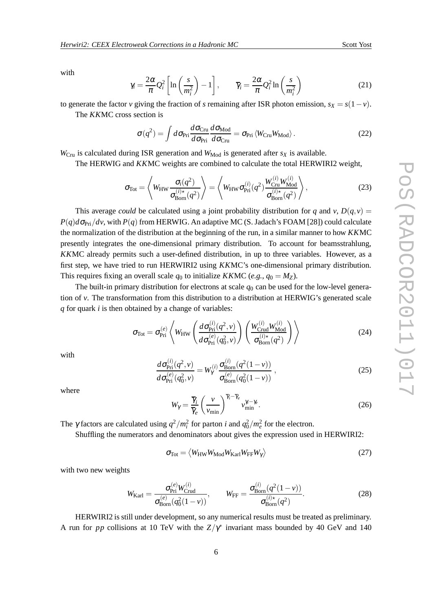with

$$
\gamma_i = \frac{2\alpha}{\pi} Q_i^2 \left[ \ln \left( \frac{s}{m_i^2} \right) - 1 \right], \qquad \overline{\gamma}_i = \frac{2\alpha}{\pi} Q_i^2 \ln \left( \frac{s}{m_i^2} \right)
$$
(21)

to generate the factor *v* giving the fraction of *s* remaining after ISR photon emission,  $s_X = s(1 - v)$ .

The *KK*MC cross section is

$$
\sigma(q^2) = \int d\sigma_{\text{Pri}} \frac{d\sigma_{\text{Cru}}}{d\sigma_{\text{Pri}}} \frac{d\sigma_{\text{Mod}}}{d\sigma_{\text{Cru}}} = \sigma_{\text{Pri}} \langle W_{\text{Cru}} W_{\text{Mod}} \rangle. \tag{22}
$$

 $W_{\text{Cru}}$  is calculated during ISR generation and  $W_{\text{Mod}}$  is generated after  $s_X$  is available.

The HERWIG and *KK*MC weights are combined to calculate the total HERWIRI2 weight,

$$
\sigma_{\text{Tot}} = \left\langle W_{\text{HW}} \frac{\sigma_i(q^2)}{\sigma_{\text{Born}}^{(i)\star}(q^2)} \right\rangle = \left\langle W_{\text{HW}} \sigma_{\text{Pri}}^{(i)}(q^2) \frac{W_{\text{Cru}}^{(i)} W_{\text{Mod}}^{(i)}}{\sigma_{\text{Born}}^{(i)\star}(q^2)} \right\rangle, \tag{23}
$$

This average *could* be calculated using a joint probability distribution for *q* and *v*,  $D(q, v)$  =  $P(q)d\sigma_{\text{Pri}}/dv$ , with  $P(q)$  from HERWIG. An adaptive MC (S. Jadach's FOAM [28]) could calculate the normalization of the distribution at the beginning of the run, in a similar manner to how *KK*MC presently integrates the one-dimensional primary distribution. To account for beamsstrahlung, *KK*MC already permits such a user-defined distribution, in up to three variables. However, as a first step, we have tried to run HERWIRI2 using *KK*MC's one-dimensional primary distribution. This requires fixing an overall scale  $q_0$  to initialize *KKMC* (*e.g.*,  $q_0 = M_Z$ ).

The built-in primary distribution for electrons at scale  $q_0$  can be used for the low-level generation of *v*. The transformation from this distribution to a distribution at HERWIG's generated scale *q* for quark *i* is then obtained by a change of variables:

$$
\sigma_{\text{Tot}} = \sigma_{\text{Pri}}^{(e)} \left\langle W_{\text{HW}} \left( \frac{d \sigma_{\text{Pri}}^{(i)}(q^2, v)}{d \sigma_{\text{Pri}}^{(e)}(q_0^2, v)} \right) \left( \frac{W_{\text{Crud}}^{(i)} W_{\text{Mod}}^{(i)}}{\sigma_{\text{Born}}^{(i) \star}(q^2)} \right) \right\rangle \tag{24}
$$

with

$$
\frac{d\sigma_{\text{Pri}}^{(i)}(q^2,\nu)}{d\sigma_{\text{Pri}}^{(e)}(q_0^2,\nu)} = W_{\gamma}^{(i)} \frac{\sigma_{\text{Born}}^{(i)}(q^2(1-\nu))}{\sigma_{\text{Born}}^{(e)}(q_0^2(1-\nu))},\tag{25}
$$

where

$$
W_{\gamma} = \frac{\overline{\gamma}_i}{\overline{\gamma}_e} \left(\frac{v}{v_{\min}}\right)^{\overline{\gamma}_i - \overline{\gamma}_e} v_{\min}^{\gamma_i - \gamma_e}.
$$
 (26)

The  $\gamma$  factors are calculated using  $q^2/m_i^2$  for parton *i* and  $q_0^2/m_e^2$  for the electron.

Shuffling the numerators and denominators about gives the expression used in HERWIRI2:

$$
\sigma_{\text{Tot}} = \langle W_{\text{HW}} W_{\text{Mod}} W_{\text{Karl}} W_{\text{FF}} W_{\gamma} \rangle \tag{27}
$$

with two new weights

$$
W_{\text{Karl}} = \frac{\sigma_{\text{Pri}}^{(e)} W_{\text{Crud}}^{(i)}}{\sigma_{\text{Born}}^{(e)}(q_0^2 (1 - \nu))}, \qquad W_{\text{FF}} = \frac{\sigma_{\text{Born}}^{(i)} (q^2 (1 - \nu))}{\sigma_{\text{Born}}^{(i) \star} (q^2)}.
$$
(28)

HERWIRI2 is still under development, so any numerical results must be treated as preliminary. A run for *pp* collisions at 10 TeV with the  $Z/\gamma^*$  invariant mass bounded by 40 GeV and 140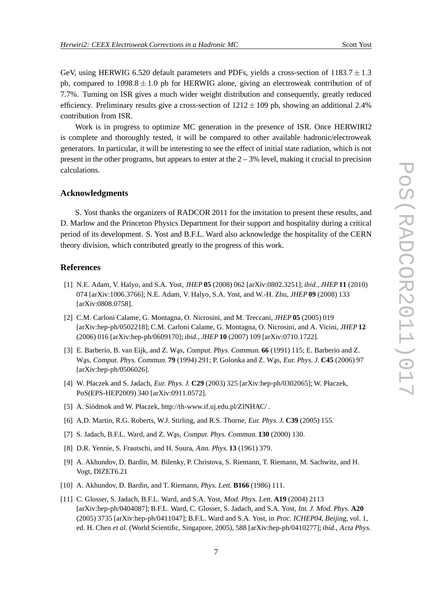GeV, using HERWIG 6.520 default parameters and PDFs, yields a cross-section of  $1183.7 \pm 1.3$ pb, compared to  $1098.8 \pm 1.0$  pb for HERWIG alone, giving an electroweak contribution of of 7.7%. Turning on ISR gives a much wider weight distribution and consequently, greatly reduced efficiency. Preliminary results give a cross-section of  $1212 \pm 109$  pb, showing an additional 2.4% contribution from ISR.

Work is in progress to optimize MC generation in the presence of ISR. Once HERWIRI2 is complete and thoroughly tested, it will be compared to other available hadronic/electroweak generators. In particular, it will be interesting to see the effect of initial state radiation, which is not present in the other programs, but appears to enter at the  $2 - 3%$  level, making it crucial to precision calculations.

### **Acknowledgments**

S. Yost thanks the organizers of RADCOR 2011 for the invitation to present these results, and D. Marlow and the Princeton Physics Department for their support and hospitality during a critical period of its development. S. Yost and B.F.L. Ward also acknowledge the hospitality of the CERN theory division, which contributed greatly to the progress of this work.

# **References**

- [1] N.E. Adam, V. Halyo, and S.A. Yost, JHEP **05** (2008) 062 [arXiv:0802.3251]; *ibid.*, JHEP **11** (2010) 074 [arXiv:1006.3766]; N.E. Adam, V. Halyo, S.A. Yost, and W.-H. Zhu, JHEP **09** (2008) 133 [arXiv:0808.0758].
- [2] C.M. Carloni Calame, G. Montagna, O. Nicrosini, and M. Treccani, JHEP **05** (2005) 019 [arXiv:hep-ph/0502218]; C.M. Carloni Calame, G. Montagna, O. Nicrosini, and A. Vicini, JHEP **12** (2006) 016 [arXiv:hep-ph/0609170]; *ibid.*, JHEP **10** (2007) 109 [arXiv:0710.1722].
- [3] E. Barberio, B. van Eijk, and Z. Was, Comput. Phys. Commun. **66** (1991) 115; E. Barberio and Z. Was, Comput. Phys. Commun. **79** (1994) 291; P. Golonka and Z. Was, Eur. Phys. J. **C45** (2006) 97 [arXiv:hep-ph/0506026].
- [4] W. Płaczek and S. Jadach, Eur. Phys. J. **C29** (2003) 325 [arXiv:hep-ph/0302065]; W. Płaczek, PoS(EPS-HEP2009) 340 [arXiv:0911.0572].
- [5] A. Siódmok and W. Płaczek, http://th-www.if.uj.edu.pl/ZINHAC/ .
- [6] A.D. Martin, R.G. Roberts, W.J. Stirling, and R.S. Thorne, Eur. Phys. J. **C39** (2005) 155.
- [7] S. Jadach, B.F.L. Ward, and Z. Was, Comput. Phys. Commun. **130** (2000) 130.
- [8] D.R. Yennie, S. Frautschi, and H. Suura, Ann. Phys. **13** (1961) 379.
- [9] A. Akhundov, D. Bardin, M. Bilenky, P. Christova, S. Riemann, T. Riemann, M. Sachwitz, and H. Vogt, DIZET6.21
- [10] A. Akhundov, D. Bardin, and T. Riemann, Phys. Lett. **B166** (1986) 111.
- [11] C. Glosser, S. Jadach, B.F.L. Ward, and S.A. Yost, Mod. Phys. Lett. **A19** (2004) 2113 [arXiv:hep-ph/0404087]; B.F.L. Ward, C. Glosser, S. Jadach, and S.A. Yost, Int. J. Mod. Phys. **A20** (2005) 3735 [arXiv:hep-ph/0411047]; B.F.L. Ward and S.A. Yost, in Proc. ICHEP04, Beijing, vol. 1, ed. H. Chen *et al.* (World Scientific, Singapore, 2005), 588 [arXiv:hep-ph/0410277]; *ibid.*, Acta Phys.